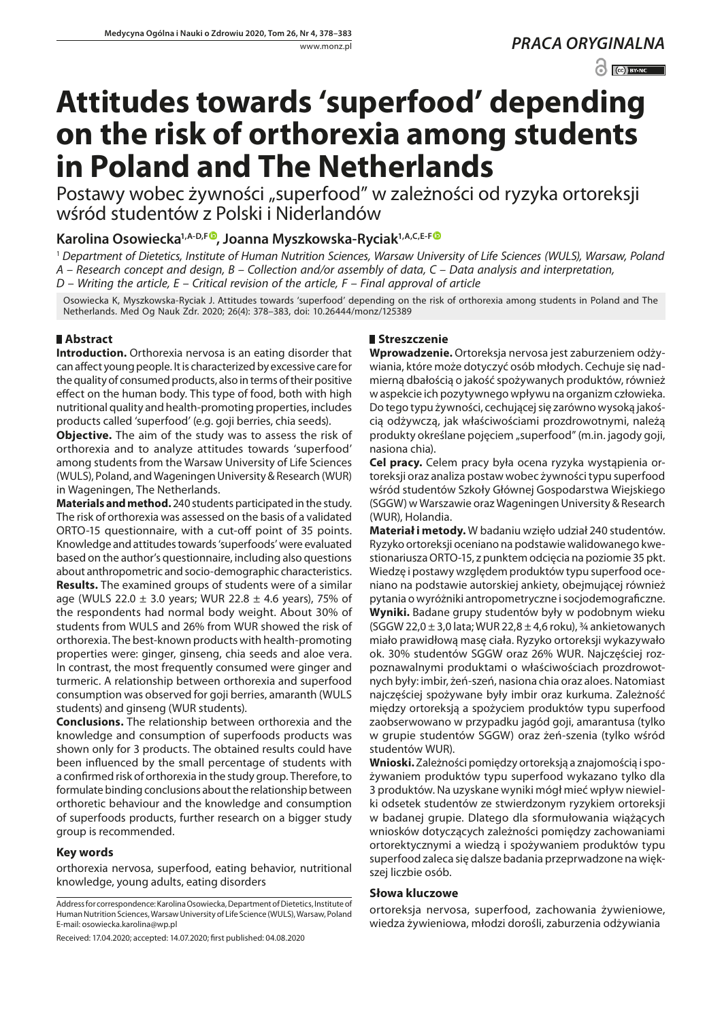www.monz.pl



# **Attitudes towards 'superfood' depending on the risk of orthorexia among students in Poland and The Netherlands**

Postawy wobec żywności "superfood" w zależności od ryzyka ortoreksji wśród studentów z Polski i Niderlandów

Karolina Osowiecka<sup>1, A-D, F®, Joanna Myszkowska-Ryciak<sup>1, A, C, E-F®</sup></sup>

<sup>1</sup> *Department of Dietetics, Institute of Human Nutrition Sciences, Warsaw University of Life Sciences (WULS), Warsaw, Poland A – Research concept and design, B – Collection and/or assembly of data, C – Data analysis and interpretation,* 

*D – Writing the article, E – Critical revision of the article, F – Final approval of article*

Osowiecka K, Myszkowska-Ryciak J. Attitudes towards 'superfood' depending on the risk of orthorexia among students in Poland and The Netherlands. Med Og Nauk Zdr. 2020; 26(4): 378–383, doi: 10.26444/monz/125389

## **Abstract**

**Introduction.** Orthorexia nervosa is an eating disorder that can affect young people. It is characterized by excessive care for the quality of consumed products, also in terms of their positive effect on the human body. This type of food, both with high nutritional quality and health-promoting properties, includes products called 'superfood' (e.g. goji berries, chia seeds).

**Objective.** The aim of the study was to assess the risk of orthorexia and to analyze attitudes towards 'superfood' among students from the Warsaw University of Life Sciences (WULS), Poland, and Wageningen University & Research (WUR) in Wageningen, The Netherlands.

**Materials and method.** 240 students participated in the study. The risk of orthorexia was assessed on the basis of a validated ORTO-15 questionnaire, with a cut-off point of 35 points. Knowledge and attitudes towards 'superfoods' were evaluated based on the author's questionnaire, including also questions about anthropometric and socio-demographic characteristics. **Results.** The examined groups of students were of a similar age (WULS 22.0  $\pm$  3.0 years; WUR 22.8  $\pm$  4.6 years), 75% of the respondents had normal body weight. About 30% of students from WULS and 26% from WUR showed the risk of orthorexia. The best-known products with health-promoting properties were: ginger, ginseng, chia seeds and aloe vera. In contrast, the most frequently consumed were ginger and turmeric. A relationship between orthorexia and superfood consumption was observed for goji berries, amaranth (WULS students) and ginseng (WUR students).

**Conclusions.** The relationship between orthorexia and the knowledge and consumption of superfoods products was shown only for 3 products. The obtained results could have been influenced by the small percentage of students with a confirmed risk of orthorexia in the study group. Therefore, to formulate binding conclusions about the relationship between orthoretic behaviour and the knowledge and consumption of superfoods products, further research on a bigger study group is recommended.

## **Key words**

orthorexia nervosa, superfood, eating behavior, nutritional knowledge, young adults, eating disorders

## **Streszczenie**

**Wprowadzenie.** Ortoreksja nervosa jest zaburzeniem odżywiania, które może dotyczyć osób młodych. Cechuje się nadmierną dbałością o jakość spożywanych produktów, również w aspekcie ich pozytywnego wpływu na organizm człowieka. Do tego typu żywności, cechującej się zarówno wysoką jakością odżywczą, jak właściwościami prozdrowotnymi, należą produkty określane pojęciem "superfood" (m.in. jagody goji, nasiona chia).

**Cel pracy.** Celem pracy była ocena ryzyka wystąpienia ortoreksji oraz analiza postaw wobec żywności typu superfood wśród studentów Szkoły Głównej Gospodarstwa Wiejskiego (SGGW) w Warszawie oraz Wageningen University & Research (WUR), Holandia.

**Materiał i metody.** W badaniu wzięło udział 240 studentów. Ryzyko ortoreksji oceniano na podstawie walidowanego kwestionariusza ORTO-15, z punktem odcięcia na poziomie 35 pkt. Wiedzę i postawy względem produktów typu superfood oceniano na podstawie autorskiej ankiety, obejmującej również pytania o wyróżniki antropometryczne i socjodemograficzne. **Wyniki.** Badane grupy studentów były w podobnym wieku (SGGW 22,0  $\pm$  3,0 lata; WUR 22,8  $\pm$  4,6 roku),  $\frac{3}{4}$  ankietowanych miało prawidłową masę ciała. Ryzyko ortoreksji wykazywało ok. 30% studentów SGGW oraz 26% WUR. Najczęściej rozpoznawalnymi produktami o właściwościach prozdrowotnych były: imbir, żeń-szeń, nasiona chia oraz aloes. Natomiast najczęściej spożywane były imbir oraz kurkuma. Zależność między ortoreksją a spożyciem produktów typu superfood zaobserwowano w przypadku jagód goji, amarantusa (tylko w grupie studentów SGGW) oraz żeń-szenia (tylko wśród studentów WUR).

**Wnioski.** Zależności pomiędzy ortoreksją a znajomością i spożywaniem produktów typu superfood wykazano tylko dla 3 produktów. Na uzyskane wyniki mógł mieć wpływ niewielki odsetek studentów ze stwierdzonym ryzykiem ortoreksji w badanej grupie. Dlatego dla sformułowania wiążących wniosków dotyczących zależności pomiędzy zachowaniami ortorektycznymi a wiedzą i spożywaniem produktów typu superfood zaleca się dalsze badania przeprwadzone na większej liczbie osób.

#### **Słowa kluczowe**

ortoreksja nervosa, superfood, zachowania żywieniowe, wiedza żywieniowa, młodzi dorośli, zaburzenia odżywiania

Address for correspondence: Karolina Osowiecka, Department of Dietetics, Institute of Human Nutrition Sciences, Warsaw University of Life Science (WULS), Warsaw, Poland E-mail: osowiecka.karolina@wp.pl

Received: 17.04.2020; accepted: 14.07.2020; first published: 04.08.2020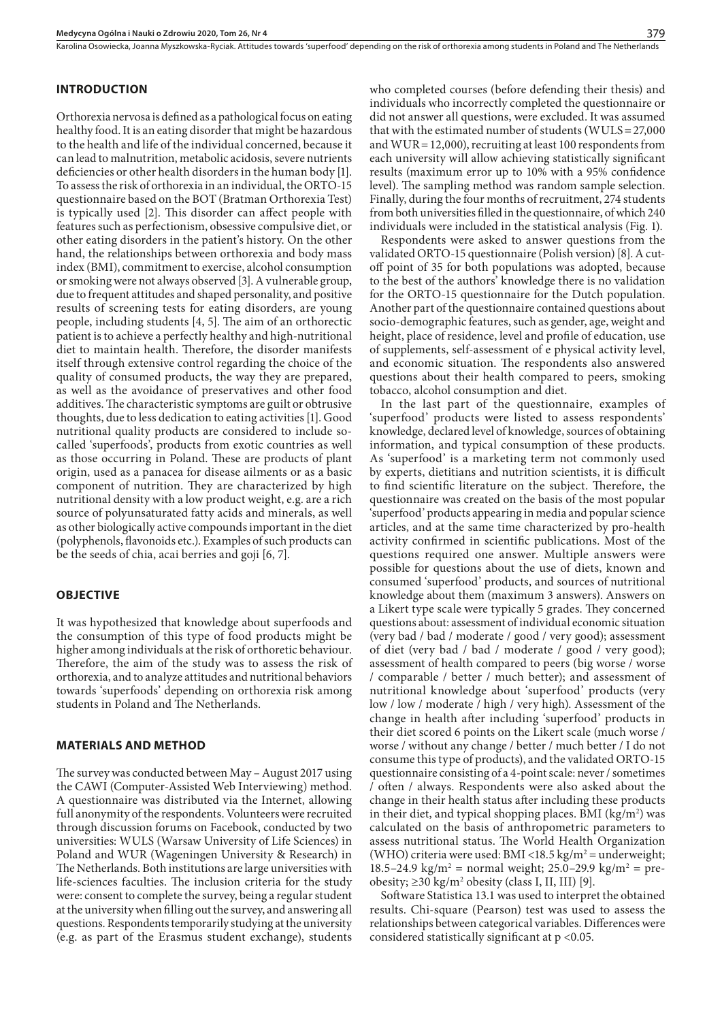## **INTRODUCTION**

Orthorexia nervosa is defined as a pathological focus on eating healthy food. It is an eating disorder that might be hazardous to the health and life of the individual concerned, because it can lead to malnutrition, metabolic acidosis, severe nutrients deficiencies or other health disorders in the human body [1]. To assess the risk of orthorexia in an individual, the ORTO-15 questionnaire based on the BOT (Bratman Orthorexia Test) is typically used [2]. This disorder can affect people with features such as perfectionism, obsessive compulsive diet, or other eating disorders in the patient's history. On the other hand, the relationships between orthorexia and body mass index (BMI), commitment to exercise, alcohol consumption or smoking were not always observed [3]. A vulnerable group, due to frequent attitudes and shaped personality, and positive results of screening tests for eating disorders, are young people, including students [4, 5]. The aim of an orthorectic patient is to achieve a perfectly healthy and high-nutritional diet to maintain health. Therefore, the disorder manifests itself through extensive control regarding the choice of the quality of consumed products, the way they are prepared, as well as the avoidance of preservatives and other food additives. The characteristic symptoms are guilt or obtrusive thoughts, due to less dedication to eating activities [1]. Good nutritional quality products are considered to include socalled 'superfoods', products from exotic countries as well as those occurring in Poland. These are products of plant origin, used as a panacea for disease ailments or as a basic component of nutrition. They are characterized by high nutritional density with a low product weight, e.g. are a rich source of polyunsaturated fatty acids and minerals, as well as other biologically active compounds important in the diet (polyphenols, flavonoids etc.). Examples of such products can be the seeds of chia, acai berries and goji [6, 7].

## **OBJECTIVE**

It was hypothesized that knowledge about superfoods and the consumption of this type of food products might be higher among individuals at the risk of orthoretic behaviour. Therefore, the aim of the study was to assess the risk of orthorexia, and to analyze attitudes and nutritional behaviors towards 'superfoods' depending on orthorexia risk among students in Poland and The Netherlands.

#### **MATERIALS AND METHOD**

The survey was conducted between May – August 2017 using the CAWI (Computer-Assisted Web Interviewing) method. A questionnaire was distributed via the Internet, allowing full anonymity of the respondents. Volunteers were recruited through discussion forums on Facebook, conducted by two universities: WULS (Warsaw University of Life Sciences) in Poland and WUR (Wageningen University & Research) in The Netherlands. Both institutions are large universities with life-sciences faculties. The inclusion criteria for the study were: consent to complete the survey, being a regular student at the university when filling out the survey, and answering all questions. Respondents temporarily studying at the university (e.g. as part of the Erasmus student exchange), students

who completed courses (before defending their thesis) and individuals who incorrectly completed the questionnaire or did not answer all questions, were excluded. It was assumed that with the estimated number of students (WULS=27,000 and WUR=12,000), recruiting at least 100 respondents from each university will allow achieving statistically significant results (maximum error up to 10% with a 95% confidence level). The sampling method was random sample selection. Finally, during the four months of recruitment, 274 students from both universities filled in the questionnaire, of which 240 individuals were included in the statistical analysis (Fig. 1).

Respondents were asked to answer questions from the validated ORTO-15 questionnaire (Polish version) [8]. A cutoff point of 35 for both populations was adopted, because to the best of the authors' knowledge there is no validation for the ORTO-15 questionnaire for the Dutch population. Another part of the questionnaire contained questions about socio-demographic features, such as gender, age, weight and height, place of residence, level and profile of education, use of supplements, self-assessment of e physical activity level, and economic situation. The respondents also answered questions about their health compared to peers, smoking tobacco, alcohol consumption and diet.

In the last part of the questionnaire, examples of 'superfood' products were listed to assess respondents' knowledge, declared level of knowledge, sources of obtaining information, and typical consumption of these products. As 'superfood' is a marketing term not commonly used by experts, dietitians and nutrition scientists, it is difficult to find scientific literature on the subject. Therefore, the questionnaire was created on the basis of the most popular 'superfood' products appearing in media and popular science articles, and at the same time characterized by pro-health activity confirmed in scientific publications. Most of the questions required one answer. Multiple answers were possible for questions about the use of diets, known and consumed 'superfood' products, and sources of nutritional knowledge about them (maximum 3 answers). Answers on a Likert type scale were typically 5 grades. They concerned questions about: assessment of individual economic situation (very bad / bad / moderate / good / very good); assessment of diet (very bad / bad / moderate / good / very good); assessment of health compared to peers (big worse / worse / comparable / better / much better); and assessment of nutritional knowledge about 'superfood' products (very low / low / moderate / high / very high). Assessment of the change in health after including 'superfood' products in their diet scored 6 points on the Likert scale (much worse / worse / without any change / better / much better / I do not consume this type of products), and the validated ORTO-15 questionnaire consisting of a 4-point scale: never / sometimes / often / always. Respondents were also asked about the change in their health status after including these products in their diet, and typical shopping places. BMI  $(kg/m<sup>2</sup>)$  was calculated on the basis of anthropometric parameters to assess nutritional status. The World Health Organization (WHO) criteria were used: BMI <18.5 kg/m<sup>2</sup> = underweight; 18.5–24.9 kg/m<sup>2</sup> = normal weight; 25.0–29.9 kg/m<sup>2</sup> = preobesity; ≥30 kg/m<sup>2</sup> obesity (class I, II, III) [9].

Software Statistica 13.1 was used to interpret the obtained results. Chi-square (Pearson) test was used to assess the relationships between categorical variables. Differences were considered statistically significant at p <0.05.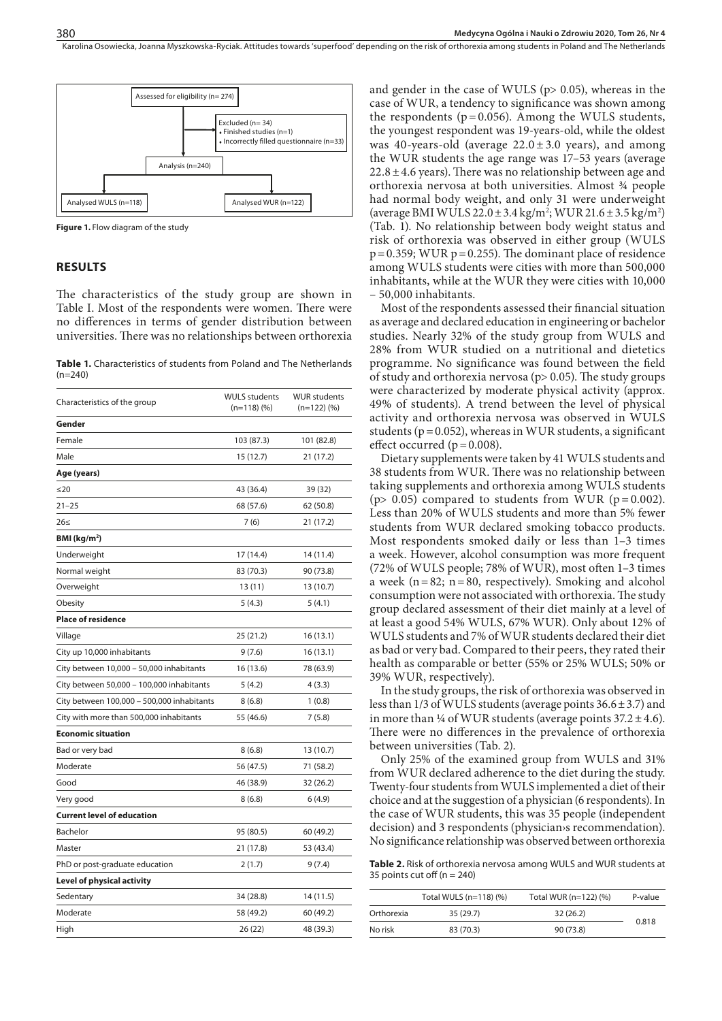Karolina Osowiecka, Joanna Myszkowska-Ryciak. Attitudes towards 'superfood' depending on the risk of orthorexia among students in Poland and The Netherlands



**Figure 1.** Flow diagram of the study

## **RESULTS**

The characteristics of the study group are shown in Table I. Most of the respondents were women. There were no differences in terms of gender distribution between universities. There was no relationships between orthorexia

**Table 1.** Characteristics of students from Poland and The Netherlands (n=240)

| Characteristics of the group               | <b>WULS students</b><br>$(n=118)(%$ | <b>WUR students</b><br>$(n=122)(%$ |  |  |
|--------------------------------------------|-------------------------------------|------------------------------------|--|--|
| Gender                                     |                                     |                                    |  |  |
| Female                                     | 103 (87.3)                          | 101 (82.8)                         |  |  |
| Male                                       | 15 (12.7)                           | 21 (17.2)                          |  |  |
| Age (years)                                |                                     |                                    |  |  |
| $\leq$ 20                                  | 43 (36.4)                           | 39 (32)                            |  |  |
| $21 - 25$                                  | 68 (57.6)                           | 62 (50.8)                          |  |  |
| 26<                                        | 7(6)                                | 21 (17.2)                          |  |  |
| BMI (kg/m <sup>2</sup> )                   |                                     |                                    |  |  |
| Underweight                                | 17 (14.4)                           | 14 (11.4)                          |  |  |
| Normal weight                              | 83 (70.3)                           | 90 (73.8)                          |  |  |
| Overweight                                 | 13 (11)                             | 13 (10.7)                          |  |  |
| Obesity                                    | 5(4.3)                              | 5(4.1)                             |  |  |
| <b>Place of residence</b>                  |                                     |                                    |  |  |
| Village                                    | 25 (21.2)                           | 16(13.1)                           |  |  |
| City up 10,000 inhabitants                 | 9(7.6)                              | 16(13.1)                           |  |  |
| City between 10,000 - 50,000 inhabitants   | 16 (13.6)                           | 78 (63.9)                          |  |  |
| City between 50,000 - 100,000 inhabitants  | 5(4.2)                              | 4(3.3)                             |  |  |
| City between 100,000 - 500,000 inhabitants | 8(6.8)                              | 1(0.8)                             |  |  |
| City with more than 500,000 inhabitants    | 55 (46.6)                           | 7(5.8)                             |  |  |
| <b>Economic situation</b>                  |                                     |                                    |  |  |
| Bad or very bad                            | 8(6.8)                              | 13 (10.7)                          |  |  |
| Moderate                                   | 56 (47.5)                           | 71 (58.2)                          |  |  |
| Good                                       | 46 (38.9)                           | 32 (26.2)                          |  |  |
| Very good                                  | 8(6.8)                              | 6(4.9)                             |  |  |
| <b>Current level of education</b>          |                                     |                                    |  |  |
| Bachelor                                   | 95 (80.5)                           | 60 (49.2)                          |  |  |
| Master                                     | 21 (17.8)                           | 53 (43.4)                          |  |  |
| PhD or post-graduate education             | 2(1.7)                              | 9(7.4)                             |  |  |
| Level of physical activity                 |                                     |                                    |  |  |
| Sedentary                                  | 34 (28.8)                           | 14 (11.5)                          |  |  |
| Moderate                                   | 58 (49.2)                           | 60 (49.2)                          |  |  |
| High                                       | 26(22)                              | 48 (39.3)                          |  |  |

and gender in the case of WULS (p> 0.05), whereas in the case of WUR, a tendency to significance was shown among the respondents ( $p=0.056$ ). Among the WULS students, the youngest respondent was 19-years-old, while the oldest was 40-years-old (average  $22.0 \pm 3.0$  years), and among the WUR students the age range was 17–53 years (average  $22.8 \pm 4.6$  years). There was no relationship between age and orthorexia nervosa at both universities. Almost ¾ people had normal body weight, and only 31 were underweight (average BMI WULS  $22.0 \pm 3.4 \text{ kg/m}^2$ ; WUR  $21.6 \pm 3.5 \text{ kg/m}^2$ ) (Tab. 1). No relationship between body weight status and risk of orthorexia was observed in either group (WULS  $p=0.359$ ; WUR  $p=0.255$ ). The dominant place of residence among WULS students were cities with more than 500,000 inhabitants, while at the WUR they were cities with 10,000 – 50,000 inhabitants.

Most of the respondents assessed their financial situation as average and declared education in engineering or bachelor studies. Nearly 32% of the study group from WULS and 28% from WUR studied on a nutritional and dietetics programme. No significance was found between the field of study and orthorexia nervosa ( $p$  > 0.05). The study groups were characterized by moderate physical activity (approx. 49% of students). A trend between the level of physical activity and orthorexia nervosa was observed in WULS students ( $p=0.052$ ), whereas in WUR students, a significant effect occurred ( $p = 0.008$ ).

Dietary supplements were taken by 41 WULS students and 38 students from WUR. There was no relationship between taking supplements and orthorexia among WULS students ( $p$ > 0.05) compared to students from WUR ( $p$  = 0.002). Less than 20% of WULS students and more than 5% fewer students from WUR declared smoking tobacco products. Most respondents smoked daily or less than 1–3 times a week. However, alcohol consumption was more frequent (72% of WULS people; 78% of WUR), most often 1–3 times a week ( $n=82$ ;  $n=80$ , respectively). Smoking and alcohol consumption were not associated with orthorexia. The study group declared assessment of their diet mainly at a level of at least a good 54% WULS, 67% WUR). Only about 12% of WULS students and 7% of WUR students declared their diet as bad or very bad. Compared to their peers, they rated their health as comparable or better (55% or 25% WULS; 50% or 39% WUR, respectively).

In the study groups, the risk of orthorexia was observed in less than 1/3 of WULS students (average points 36.6±3.7) and in more than ¼ of WUR students (average points  $37.2 \pm 4.6$ ). There were no differences in the prevalence of orthorexia between universities (Tab. 2).

Only 25% of the examined group from WULS and 31% from WUR declared adherence to the diet during the study. Twenty-four students from WULS implemented a diet of their choice and at the suggestion of a physician (6 respondents). In the case of WUR students, this was 35 people (independent decision) and 3 respondents (physician›s recommendation). No significance relationship was observed between orthorexia

**Table 2.** Risk of orthorexia nervosa among WULS and WUR students at 35 points cut off  $(n = 240)$ 

|            | Total WULS (n=118) (%) | Total WUR (n=122) (%) | P-value |
|------------|------------------------|-----------------------|---------|
| Orthorexia | 35(29.7)               | 32(26.2)              |         |
| No risk    | 83 (70.3)              | 90 (73.8)             | 0.818   |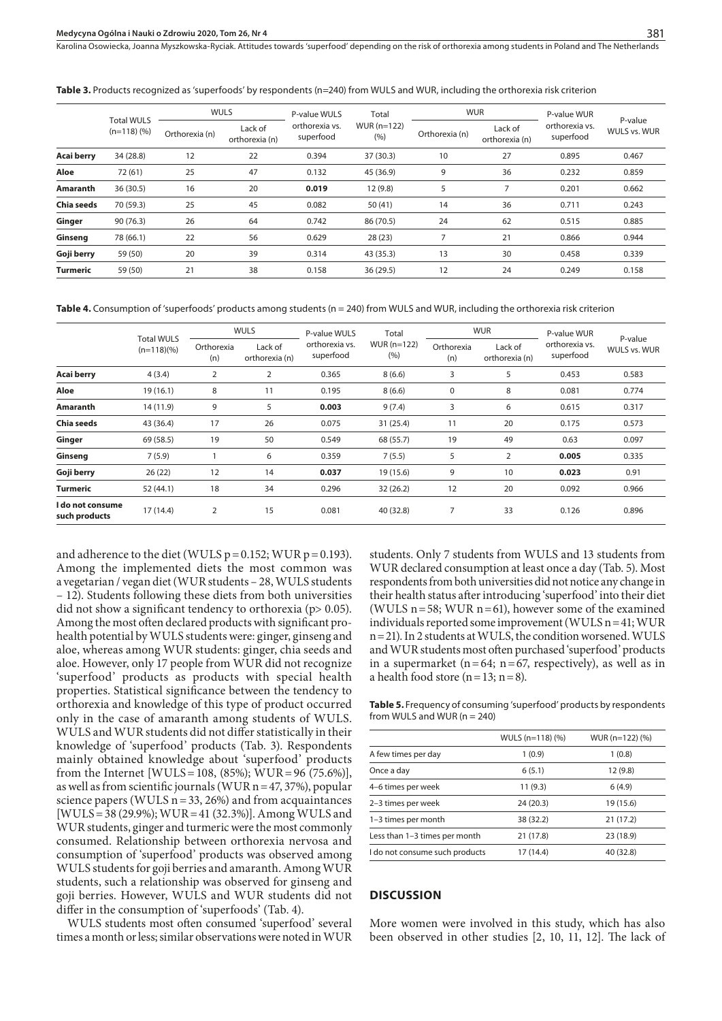**Table 3.** Products recognized as 'superfoods' by respondents (n=240) from WULS and WUR, including the orthorexia risk criterion

|                   |                                  | <b>WULS</b>    |                           | P-value WULS                | Total                 | <b>WUR</b>     |                           | P-value WUR                 |                         |
|-------------------|----------------------------------|----------------|---------------------------|-----------------------------|-----------------------|----------------|---------------------------|-----------------------------|-------------------------|
|                   | <b>Total WULS</b><br>$(n=118)(%$ | Orthorexia (n) | Lack of<br>orthorexia (n) | orthorexia vs.<br>superfood | $WUR(n=122)$<br>(9/6) | Orthorexia (n) | Lack of<br>orthorexia (n) | orthorexia vs.<br>superfood | P-value<br>WULS vs. WUR |
| Acai berry        | 34 (28.8)                        | 12             | 22                        | 0.394                       | 37 (30.3)             | 10             | 27                        | 0.895                       | 0.467                   |
| Aloe              | 72(61)                           | 25             | 47                        | 0.132                       | 45 (36.9)             | 9              | 36                        | 0.232                       | 0.859                   |
| Amaranth          | 36(30.5)                         | 16             | 20                        | 0.019                       | 12(9.8)               | 5              | 7                         | 0.201                       | 0.662                   |
| <b>Chia seeds</b> | 70 (59.3)                        | 25             | 45                        | 0.082                       | 50(41)                | 14             | 36                        | 0.711                       | 0.243                   |
| Ginger            | 90(76.3)                         | 26             | 64                        | 0.742                       | 86 (70.5)             | 24             | 62                        | 0.515                       | 0.885                   |
| Ginseng           | 78 (66.1)                        | 22             | 56                        | 0.629                       | 28(23)                |                | 21                        | 0.866                       | 0.944                   |
| Goji berry        | 59 (50)                          | 20             | 39                        | 0.314                       | 43 (35.3)             | 13             | 30                        | 0.458                       | 0.339                   |
| <b>Turmeric</b>   | 59 (50)                          | 21             | 38                        | 0.158                       | 36(29.5)              | 12             | 24                        | 0.249                       | 0.158                   |

**Table 4.** Consumption of 'superfoods' products among students (n = 240) from WULS and WUR, including the orthorexia risk criterion

|                                   | <b>Total WULS</b> |                   | <b>WULS</b>               | P-value WULS<br>orthorexia vs.<br>superfood | Total<br>$WUR(n=122)$<br>(%) | <b>WUR</b>        |                           | P-value WUR                 | P-value      |
|-----------------------------------|-------------------|-------------------|---------------------------|---------------------------------------------|------------------------------|-------------------|---------------------------|-----------------------------|--------------|
|                                   | $(n=118)(%$       | Orthorexia<br>(n) | Lack of<br>orthorexia (n) |                                             |                              | Orthorexia<br>(n) | Lack of<br>orthorexia (n) | orthorexia vs.<br>superfood | WULS vs. WUR |
| <b>Acai berry</b>                 | 4(3.4)            | 2                 | 2                         | 0.365                                       | 8(6.6)                       | 3                 | 5                         | 0.453                       | 0.583        |
| Aloe                              | 19(16.1)          | 8                 | 11                        | 0.195                                       | 8(6.6)                       | 0                 | 8                         | 0.081                       | 0.774        |
| Amaranth                          | 14 (11.9)         | 9                 | 5                         | 0.003                                       | 9(7.4)                       | 3                 | 6                         | 0.615                       | 0.317        |
| Chia seeds                        | 43 (36.4)         | 17                | 26                        | 0.075                                       | 31 (25.4)                    | 11                | 20                        | 0.175                       | 0.573        |
| Ginger                            | 69 (58.5)         | 19                | 50                        | 0.549                                       | 68 (55.7)                    | 19                | 49                        | 0.63                        | 0.097        |
| Ginseng                           | 7(5.9)            |                   | 6                         | 0.359                                       | 7(5.5)                       | 5                 | $\overline{2}$            | 0.005                       | 0.335        |
| Goji berry                        | 26(22)            | 12                | 14                        | 0.037                                       | 19 (15.6)                    | 9                 | 10                        | 0.023                       | 0.91         |
| Turmeric                          | 52 (44.1)         | 18                | 34                        | 0.296                                       | 32(26.2)                     | 12                | 20                        | 0.092                       | 0.966        |
| I do not consume<br>such products | 17(14.4)          | $\overline{2}$    | 15                        | 0.081                                       | 40 (32.8)                    | 7                 | 33                        | 0.126                       | 0.896        |

and adherence to the diet (WULS  $p = 0.152$ ; WUR  $p = 0.193$ ). Among the implemented diets the most common was a vegetarian / vegan diet (WUR students – 28, WULS students – 12). Students following these diets from both universities did not show a significant tendency to orthorexia (p> 0.05). Among the most often declared products with significant prohealth potential by WULS students were: ginger, ginseng and aloe, whereas among WUR students: ginger, chia seeds and aloe. However, only 17 people from WUR did not recognize 'superfood' products as products with special health properties. Statistical significance between the tendency to orthorexia and knowledge of this type of product occurred only in the case of amaranth among students of WULS. WULS and WUR students did not differ statistically in their knowledge of 'superfood' products (Tab. 3). Respondents mainly obtained knowledge about 'superfood' products from the Internet [WULS=108, (85%); WUR=96 (75.6%)], as well as from scientific journals (WUR n=47, 37%), popular science papers (WULS  $n=33, 26%$ ) and from acquaintances [WULS=38 (29.9%); WUR=41 (32.3%)]. Among WULS and WUR students, ginger and turmeric were the most commonly consumed. Relationship between orthorexia nervosa and consumption of 'superfood' products was observed among WULS students for goji berries and amaranth. Among WUR students, such a relationship was observed for ginseng and goji berries. However, WULS and WUR students did not differ in the consumption of 'superfoods' (Tab. 4).

WULS students most often consumed 'superfood' several times a month or less; similar observations were noted in WUR students. Only 7 students from WULS and 13 students from WUR declared consumption at least once a day (Tab. 5). Most respondents from both universities did not notice any change in their health status after introducing 'superfood' into their diet (WULS  $n=58$ ; WUR  $n=61$ ), however some of the examined individuals reported some improvement (WULS n=41; WUR n=21). In 2 students at WULS, the condition worsened. WULS and WUR students most often purchased 'superfood' products in a supermarket ( $n=64$ ;  $n=67$ , respectively), as well as in a health food store  $(n=13; n=8)$ .

**Table 5.** Frequency of consuming 'superfood' products by respondents from WULS and WUR ( $n = 240$ )

|                                | WULS (n=118) (%) | WUR (n=122) (%) |
|--------------------------------|------------------|-----------------|
| A few times per day            | 1(0.9)           | 1(0.8)          |
| Once a day                     | 6(5.1)           | 12 (9.8)        |
| 4-6 times per week             | 11(9.3)          | 6(4.9)          |
| 2-3 times per week             | 24(20.3)         | 19 (15.6)       |
| 1-3 times per month            | 38 (32.2)        | 21(17.2)        |
| Less than 1-3 times per month  | 21 (17.8)        | 23 (18.9)       |
| I do not consume such products | 17 (14.4)        | 40 (32.8)       |
|                                |                  |                 |

#### **DISCUSSION**

More women were involved in this study, which has also been observed in other studies [2, 10, 11, 12]. The lack of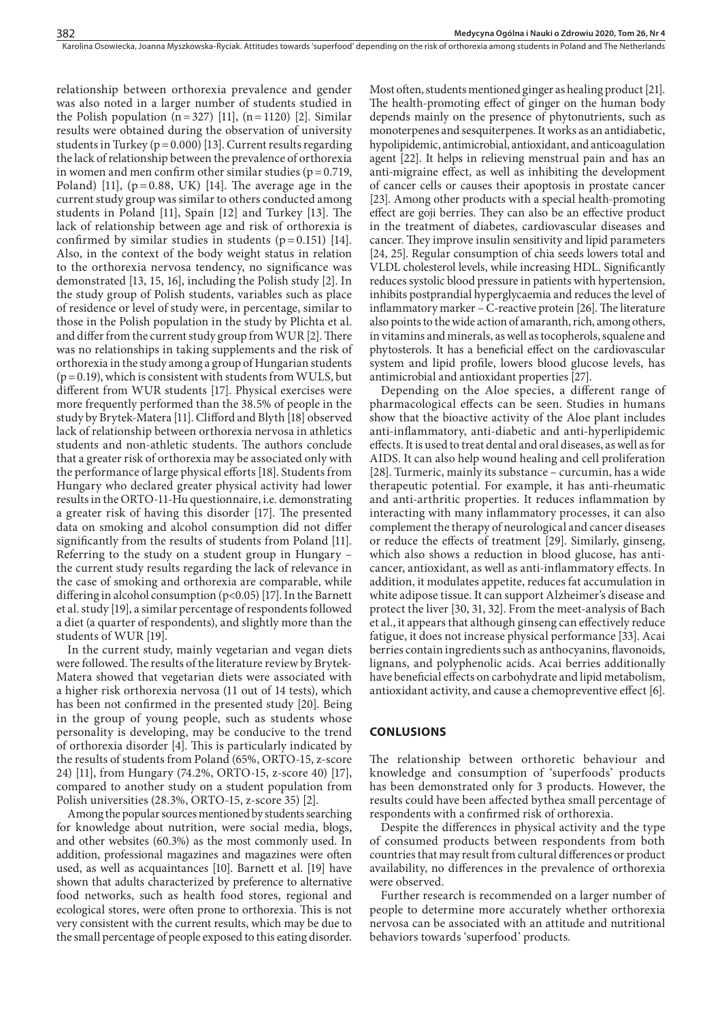relationship between orthorexia prevalence and gender was also noted in a larger number of students studied in the Polish population  $(n=327)$  [11],  $(n=1120)$  [2]. Similar results were obtained during the observation of university students in Turkey ( $p=0.000$ ) [13]. Current results regarding the lack of relationship between the prevalence of orthorexia in women and men confirm other similar studies ( $p=0.719$ , Poland) [11],  $(p=0.88, UK)$  [14]. The average age in the current study group was similar to others conducted among students in Poland [11], Spain [12] and Turkey [13]. The lack of relationship between age and risk of orthorexia is confirmed by similar studies in students  $(p=0.151)$  [14]. Also, in the context of the body weight status in relation to the orthorexia nervosa tendency, no significance was demonstrated [13, 15, 16], including the Polish study [2]. In the study group of Polish students, variables such as place of residence or level of study were, in percentage, similar to those in the Polish population in the study by Plichta et al. and differ from the current study group from WUR [2]. There was no relationships in taking supplements and the risk of orthorexia in the study among a group of Hungarian students  $(p=0.19)$ , which is consistent with students from WULS, but different from WUR students [17]. Physical exercises were more frequently performed than the 38.5% of people in the study by Brytek-Matera [11]. Clifford and Blyth [18] observed lack of relationship between orthorexia nervosa in athletics students and non-athletic students. The authors conclude that a greater risk of orthorexia may be associated only with the performance of large physical efforts [18]. Students from Hungary who declared greater physical activity had lower results in the ORTO-11-Hu questionnaire, i.e. demonstrating a greater risk of having this disorder [17]. The presented data on smoking and alcohol consumption did not differ significantly from the results of students from Poland [11]. Referring to the study on a student group in Hungary – the current study results regarding the lack of relevance in the case of smoking and orthorexia are comparable, while differing in alcohol consumption (p<0.05) [17]. In the Barnett et al. study [19], a similar percentage of respondents followed a diet (a quarter of respondents), and slightly more than the students of WUR [19].

In the current study, mainly vegetarian and vegan diets were followed. The results of the literature review by Brytek-Matera showed that vegetarian diets were associated with a higher risk orthorexia nervosa (11 out of 14 tests), which has been not confirmed in the presented study [20]. Being in the group of young people, such as students whose personality is developing, may be conducive to the trend of orthorexia disorder [4]. This is particularly indicated by the results of students from Poland (65%, ORTO-15, z-score 24) [11], from Hungary (74.2%, ORTO-15, z-score 40) [17], compared to another study on a student population from Polish universities (28.3%, ORTO-15, z-score 35) [2].

Among the popular sources mentioned by students searching for knowledge about nutrition, were social media, blogs, and other websites (60.3%) as the most commonly used. In addition, professional magazines and magazines were often used, as well as acquaintances [10]. Barnett et al. [19] have shown that adults characterized by preference to alternative food networks, such as health food stores, regional and ecological stores, were often prone to orthorexia. This is not very consistent with the current results, which may be due to the small percentage of people exposed to this eating disorder.

Most often, students mentioned ginger as healing product [21]. The health-promoting effect of ginger on the human body depends mainly on the presence of phytonutrients, such as monoterpenes and sesquiterpenes. It works as an antidiabetic, hypolipidemic, antimicrobial, antioxidant, and anticoagulation agent [22]. It helps in relieving menstrual pain and has an anti-migraine effect, as well as inhibiting the development of cancer cells or causes their apoptosis in prostate cancer [23]. Among other products with a special health-promoting effect are goji berries. They can also be an effective product in the treatment of diabetes, cardiovascular diseases and cancer. They improve insulin sensitivity and lipid parameters [24, 25]. Regular consumption of chia seeds lowers total and VLDL cholesterol levels, while increasing HDL. Significantly reduces systolic blood pressure in patients with hypertension, inhibits postprandial hyperglycaemia and reduces the level of inflammatory marker – C-reactive protein [26]. The literature also points to the wide action of amaranth, rich, among others, in vitamins and minerals, as well as tocopherols, squalene and phytosterols. It has a beneficial effect on the cardiovascular system and lipid profile, lowers blood glucose levels, has antimicrobial and antioxidant properties [27].

Depending on the Aloe species, a different range of pharmacological effects can be seen. Studies in humans show that the bioactive activity of the Aloe plant includes anti-inflammatory, anti-diabetic and anti-hyperlipidemic effects. It is used to treat dental and oral diseases, as well as for AIDS. It can also help wound healing and cell proliferation [28]. Turmeric, mainly its substance – curcumin, has a wide therapeutic potential. For example, it has anti-rheumatic and anti-arthritic properties. It reduces inflammation by interacting with many inflammatory processes, it can also complement the therapy of neurological and cancer diseases or reduce the effects of treatment [29]. Similarly, ginseng, which also shows a reduction in blood glucose, has anticancer, antioxidant, as well as anti-inflammatory effects. In addition, it modulates appetite, reduces fat accumulation in white adipose tissue. It can support Alzheimer's disease and protect the liver [30, 31, 32]. From the meet-analysis of Bach et al., it appears that although ginseng can effectively reduce fatigue, it does not increase physical performance [33]. Acai berries contain ingredients such as anthocyanins, flavonoids, lignans, and polyphenolic acids. Acai berries additionally have beneficial effects on carbohydrate and lipid metabolism, antioxidant activity, and cause a chemopreventive effect [6].

#### **CONLUSIONS**

The relationship between orthoretic behaviour and knowledge and consumption of 'superfoods' products has been demonstrated only for 3 products. However, the results could have been affected bythea small percentage of respondents with a confirmed risk of orthorexia.

Despite the differences in physical activity and the type of consumed products between respondents from both countries that may result from cultural differences or product availability, no differences in the prevalence of orthorexia were observed.

Further research is recommended on a larger number of people to determine more accurately whether orthorexia nervosa can be associated with an attitude and nutritional behaviors towards 'superfood' products.